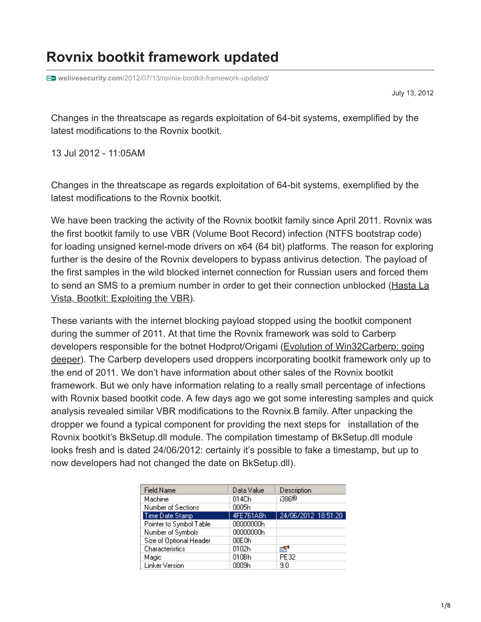# **Rovnix bootkit framework updated**

**welivesecurity.com**[/2012/07/13/rovnix-bootkit-framework-updated/](https://www.welivesecurity.com/2012/07/13/rovnix-bootkit-framework-updated/)

July 13, 2012

Changes in the threatscape as regards exploitation of 64-bit systems, exemplified by the latest modifications to the Rovnix bootkit.

13 Jul 2012 - 11:05AM

Changes in the threatscape as regards exploitation of 64-bit systems, exemplified by the latest modifications to the Rovnix bootkit.

We have been tracking the activity of the Rovnix bootkit family since April 2011. Rovnix was the first bootkit family to use VBR (Volume Boot Record) infection (NTFS bootstrap code) for loading unsigned kernel-mode drivers on x64 (64 bit) platforms. The reason for exploring further is the desire of the Rovnix developers to bypass antivirus detection. The payload of the first samples in the wild blocked internet connection for Russian users and forced them [to send an SMS to a premium number in order to get their connection unblocked \(Hasta La](https://www.welivesecurity.com/2011/08/23/hasta-la-vista-bootkit-exploiting-the-vbr) Vista, Bootkit: Exploiting the VBR).

These variants with the internet blocking payload stopped using the bootkit component during the summer of 2011. At that time the Rovnix framework was sold to Carberp [developers responsible for the botnet Hodprot/Origami \(Evolution of Win32Carberp: going](https://www.welivesecurity.com/2011/11/21/evolution-of-win32carberp-going-deeper) deeper). The Carberp developers used droppers incorporating bootkit framework only up to the end of 2011. We don't have information about other sales of the Rovnix bootkit framework. But we only have information relating to a really small percentage of infections with Rovnix based bootkit code. A few days ago we got some interesting samples and quick analysis revealed similar VBR modifications to the Rovnix.B family. After unpacking the dropper we found a typical component for providing the next steps for installation of the Rovnix bootkit's BkSetup.dll module. The compilation timestamp of BkSetup.dll module looks fresh and is dated 24/06/2012: certainly it's possible to fake a timestamp, but up to now developers had not changed the date on BkSetup.dll).

| Data Value | Description         |
|------------|---------------------|
| 014Ch      | 1386®               |
| 0005h      |                     |
| 4FE761A8h  | 24/06/2012 18:51:20 |
| 00000000h  |                     |
| 00000000h  |                     |
| 00E0h      |                     |
| 0102h      | e.                  |
| 010Bh      | PE32                |
| 0009h      | 9.0                 |
|            |                     |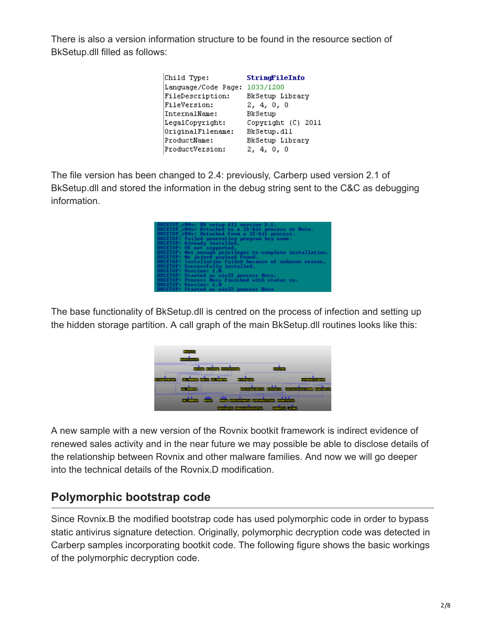There is also a version information structure to be found in the resource section of BkSetup.dll filled as follows:

| Child Type:         | StringFileInfo     |
|---------------------|--------------------|
| Language/Code Page: | 1033/1200          |
| FileDescription:    | BkSetup Library    |
| FileVersion:        | 2, 4, 0, 0         |
| InternalName:       | BkSetup            |
| LegalCopyright:     | Copyright (C) 2011 |
| OriginalFilename:   | BkSetup.dll        |
| ProductName:        | BkSetup Library    |
| ProductVersion:     | 2, 4, 0, 0         |
|                     |                    |

The file version has been changed to 2.4: previously, Carberp used version 2.1 of BkSetup.dll and stored the information in the debug string sent to the C&C as debugging information.

| BKSETUP_z04x: BK setup dll version 2.1.                  |
|----------------------------------------------------------|
| BKSETUP x04x: Attached to a 32-bit process at Oxxx.      |
| BKSETUP_%04x: Detached from a 32-bit process.            |
| BKSETUP: Failed generating program key name.             |
| BKSETUP: Already installed.                              |
| BKSETUP: OS not supported.                               |
| BKSETUP: Not enough privileges to complete installation. |
| BESETUP: No joined payload found.                        |
| BKSETUP: Installation failed because of unknown reason.  |
| BKSETUP: Successfully installed.                         |
| <b>BKSETUP: Version: 1.0</b>                             |
| BESETUP: Started as win32 process OxXx.                  |
| BKSETUP: Process Bxxx finished with status xu.           |
| <b>BKSETUP: Version: 1.0</b>                             |
| BKSETUP: Started as win32 process OxXx                   |

The base functionality of BkSetup.dll is centred on the process of infection and setting up the hidden storage partition. A call graph of the main BkSetup.dll routines looks like this:

| <b>STEAT</b>                            |                                                         |                   |
|-----------------------------------------|---------------------------------------------------------|-------------------|
| est is it il anvitad.                   |                                                         |                   |
| <b><i><u><b>In ITALIANS</b></u></i></b> | <b>HERCHOEKENING</b>                                    |                   |
|                                         | <b>LiteFasinad</b>                                      | interest is the a |
| <b>All State</b>                        |                                                         |                   |
|                                         | <b>(freeigncedies)</b>                                  | come the          |
| 1800300                                 | <b>CotkickFactifie</b><br><b>Settle Land support in</b> | . .               |
|                                         | <b>Infrasterite Judenscetabontrattion</b>               | outlie attest     |

A new sample with a new version of the Rovnix bootkit framework is indirect evidence of renewed sales activity and in the near future we may possible be able to disclose details of the relationship between Rovnix and other malware families. And now we will go deeper into the technical details of the Rovnix.D modification.

## **Polymorphic bootstrap code**

Since Rovnix.B the modified bootstrap code has used polymorphic code in order to bypass static antivirus signature detection. Originally, polymorphic decryption code was detected in Carberp samples incorporating bootkit code. The following figure shows the basic workings of the polymorphic decryption code.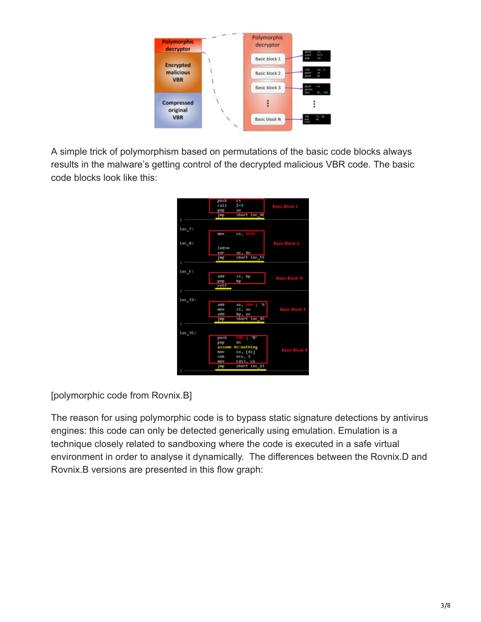

A simple trick of polymorphism based on permutations of the basic code blocks always results in the malware's getting control of the decrypted malicious VBR code. The basic code blocks look like this:

|              | push   | C <sub>5</sub>  |                      |
|--------------|--------|-----------------|----------------------|
|              | ca11   | \$+3            | lasic Block 1        |
|              | pop    | ax              |                      |
|              | j np   | short loc 48    |                      |
|              |        |                 |                      |
|              |        |                 |                      |
| $10C$ $7:$   |        |                 |                      |
|              | nou    | CK <sub>F</sub> |                      |
|              |        |                 |                      |
| $10C_$ $R:$  | 1odsw  |                 | lasie Block 2        |
|              | xor    | ax, dx          |                      |
|              | j np   | short loc_55    |                      |
|              |        |                 |                      |
|              |        |                 |                      |
| $10C_F$ :    |        |                 |                      |
|              | add    | si, bp          |                      |
|              | pop    | bp              | Basie Block N        |
|              | retf   |                 |                      |
|              |        |                 |                      |
|              |        |                 |                      |
| $10c_{13}$ : |        |                 |                      |
|              | add    | ax,             |                      |
|              | nov    | si, ax          | <b>Basic Block 3</b> |
|              | add    | bp, ax          |                      |
|              | jmp    | short loc_45    |                      |
|              |        |                 |                      |
|              |        |                 |                      |
| $10C_1C$ :   |        |                 |                      |
|              | push   | $1 - 10$        |                      |
|              | pop    | $d$ 5           |                      |
|              | assume | ds:nothing      | <b>Basic Block</b>   |
|              | nou    | cx, [di]        |                      |
|              | sub    | ecx,<br>з       |                      |
|              | nov    | <b>Tdi</b>      |                      |
|              | jmp    | short loc_61    |                      |
|              |        |                 |                      |

[polymorphic code from Rovnix.B]

The reason for using polymorphic code is to bypass static signature detections by antivirus engines: this code can only be detected generically using emulation. Emulation is a technique closely related to sandboxing where the code is executed in a safe virtual environment in order to analyse it dynamically. The differences between the Rovnix.D and Rovnix.B versions are presented in this flow graph: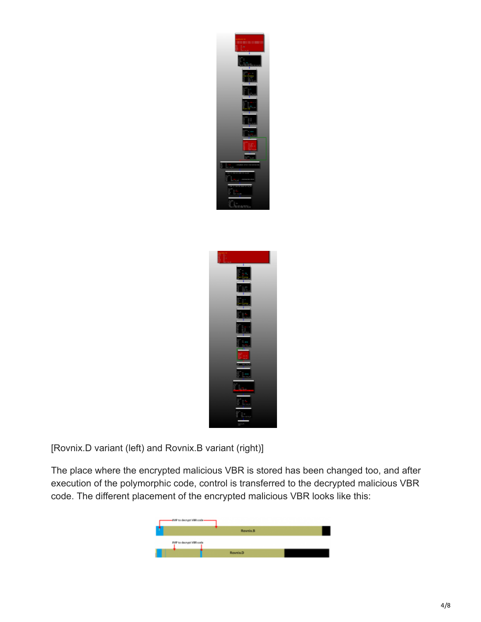



[Rovnix.D variant (left) and Rovnix.B variant (right)]

The place where the encrypted malicious VBR is stored has been changed too, and after execution of the polymorphic code, control is transferred to the decrypted malicious VBR code. The different placement of the encrypted malicious VBR looks like this:

| -IMP to decrypt VBR code- |          |  |
|---------------------------|----------|--|
| ,                         | Roynix.B |  |
| JWP to decrypt VBR code   |          |  |
|                           | Roynix.D |  |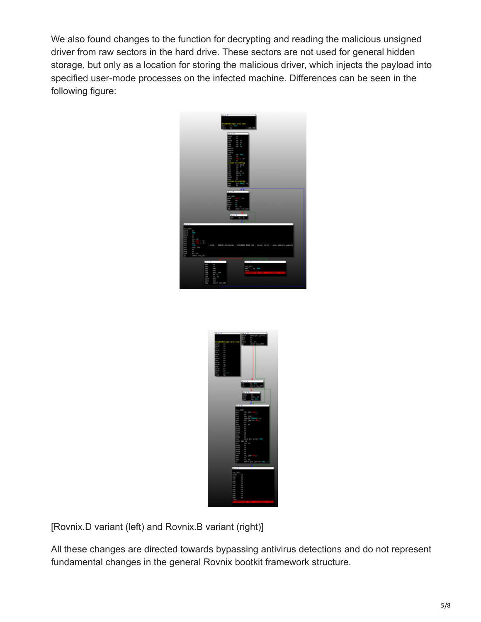We also found changes to the function for decrypting and reading the malicious unsigned driver from raw sectors in the hard drive. These sectors are not used for general hidden storage, but only as a location for storing the malicious driver, which injects the payload into specified user-mode processes on the infected machine. Differences can be seen in the following figure:





[Rovnix.D variant (left) and Rovnix.B variant (right)]

All these changes are directed towards bypassing antivirus detections and do not represent fundamental changes in the general Rovnix bootkit framework structure.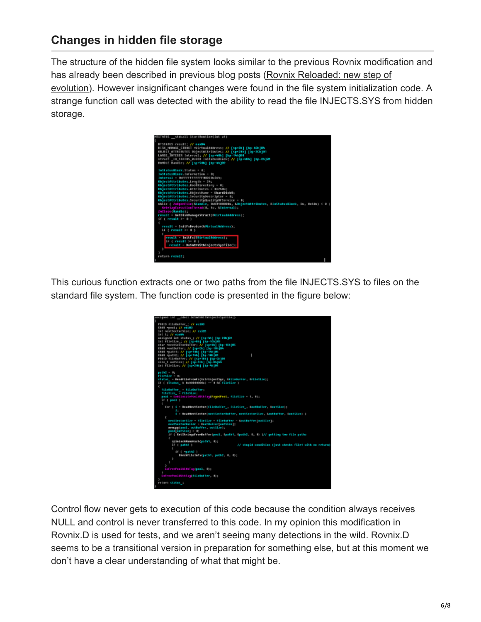## **Changes in hidden file storage**

The structure of the hidden file system looks similar to the previous Rovnix modification and has already been described in previous blog posts (Rovnix Reloaded: new step of [evolution\). However insignificant changes were found in the file system initializatio](https://www.welivesecurity.com/2012/02/22/rovnix-reloaded-new-step-of-evolution)n code. A strange function call was detected with the ability to read the file INJECTS.SYS from hidden storage.



This curious function extracts one or two paths from the file INJECTS.SYS to files on the standard file system. The function code is presented in the figure below:



Control flow never gets to execution of this code because the condition always receives NULL and control is never transferred to this code. In my opinion this modification in Rovnix.D is used for tests, and we aren't seeing many detections in the wild. Rovnix.D seems to be a transitional version in preparation for something else, but at this moment we don't have a clear understanding of what that might be.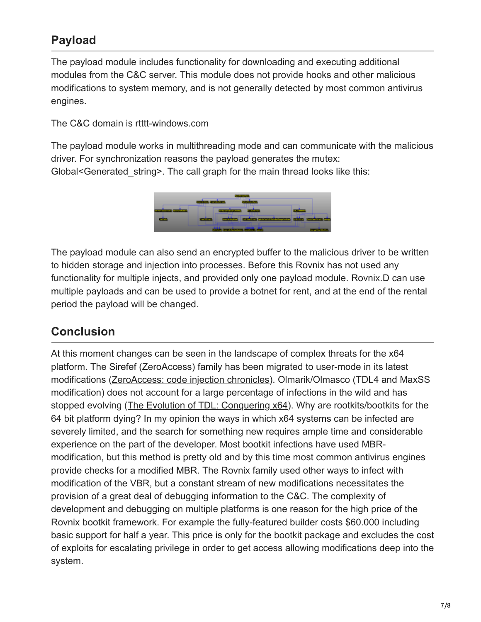## **Payload**

The payload module includes functionality for downloading and executing additional modules from the C&C server. This module does not provide hooks and other malicious modifications to system memory, and is not generally detected by most common antivirus engines.

The C&C domain is rtttt-windows.com

The payload module works in multithreading mode and can communicate with the malicious driver. For synchronization reasons the payload generates the mutex: Global<Generated string>. The call graph for the main thread looks like this:



The payload module can also send an encrypted buffer to the malicious driver to be written to hidden storage and injection into processes. Before this Rovnix has not used any functionality for multiple injects, and provided only one payload module. Rovnix.D can use multiple payloads and can be used to provide a botnet for rent, and at the end of the rental period the payload will be changed.

## **Conclusion**

At this moment changes can be seen in the landscape of complex threats for the x64 platform. The Sirefef (ZeroAccess) family has been migrated to user-mode in its latest modifications [\(ZeroAccess: code injection chronicles](https://www.welivesecurity.com/2012/06/25/zeroaccess-code-injection-chronicles)). Olmarik/Olmasco (TDL4 and MaxSS modification) does not account for a large percentage of infections in the wild and has stopped evolving ([The Evolution of TDL: Conquering x64\)](http://go.eset.com/us/resources/white-papers/The_Evolution_of_TDL.pdf). Why are rootkits/bootkits for the 64 bit platform dying? In my opinion the ways in which x64 systems can be infected are severely limited, and the search for something new requires ample time and considerable experience on the part of the developer. Most bootkit infections have used MBRmodification, but this method is pretty old and by this time most common antivirus engines provide checks for a modified MBR. The Rovnix family used other ways to infect with modification of the VBR, but a constant stream of new modifications necessitates the provision of a great deal of debugging information to the C&C. The complexity of development and debugging on multiple platforms is one reason for the high price of the Rovnix bootkit framework. For example the fully-featured builder costs \$60.000 including basic support for half a year. This price is only for the bootkit package and excludes the cost of exploits for escalating privilege in order to get access allowing modifications deep into the system.